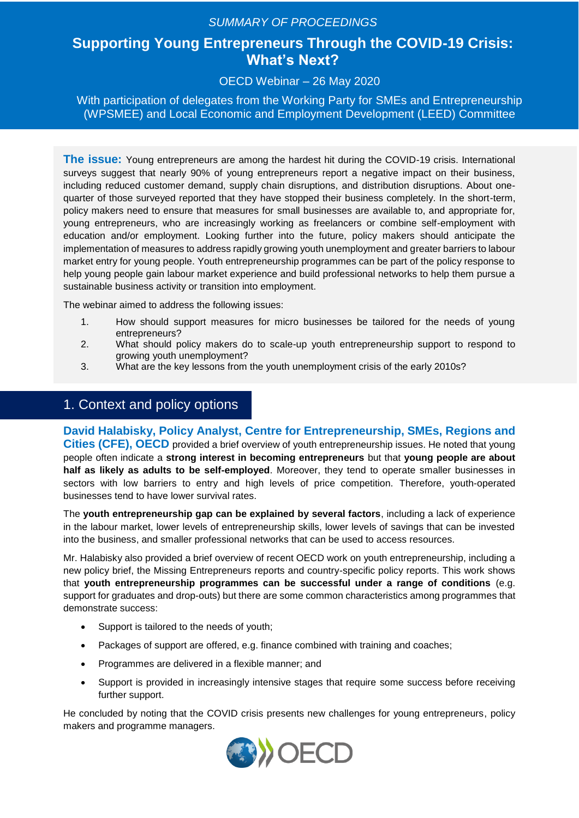## *SUMMARY OF PROCEEDINGS*

# **Supporting Young Entrepreneurs Through the COVID-19 Crisis: What's Next?**

#### OECD Webinar – 26 May 2020

With participation of delegates from the Working Party for SMEs and Entrepreneurship (WPSMEE) and Local Economic and Employment Development (LEED) Committee

**The issue:** Young entrepreneurs are among the hardest hit during the COVID-19 crisis. International surveys suggest that nearly 90% of young entrepreneurs report a negative impact on their business, including reduced customer demand, supply chain disruptions, and distribution disruptions. About onequarter of those surveyed reported that they have stopped their business completely. In the short-term, policy makers need to ensure that measures for small businesses are available to, and appropriate for, young entrepreneurs, who are increasingly working as freelancers or combine self-employment with education and/or employment. Looking further into the future, policy makers should anticipate the implementation of measures to address rapidly growing youth unemployment and greater barriers to labour market entry for young people. Youth entrepreneurship programmes can be part of the policy response to help young people gain labour market experience and build professional networks to help them pursue a sustainable business activity or transition into employment.

The webinar aimed to address the following issues:

- 1. How should support measures for micro businesses be tailored for the needs of young entrepreneurs?
- 2. What should policy makers do to scale-up youth entrepreneurship support to respond to growing youth unemployment?
- 3. What are the key lessons from the youth unemployment crisis of the early 2010s?

## 1. Context and policy options

**David Halabisky, Policy Analyst, Centre for Entrepreneurship, SMEs, Regions and Cities (CFE), OECD** provided a brief overview of youth entrepreneurship issues. He noted that young people often indicate a **strong interest in becoming entrepreneurs** but that **young people are about half as likely as adults to be self-employed**. Moreover, they tend to operate smaller businesses in sectors with low barriers to entry and high levels of price competition. Therefore, youth-operated businesses tend to have lower survival rates.

The **youth entrepreneurship gap can be explained by several factors**, including a lack of experience in the labour market, lower levels of entrepreneurship skills, lower levels of savings that can be invested into the business, and smaller professional networks that can be used to access resources.

Mr. Halabisky also provided a brief overview of recent OECD work on youth entrepreneurship, including a new policy brief, the Missing Entrepreneurs reports and country-specific policy reports. This work shows that **youth entrepreneurship programmes can be successful under a range of conditions** (e.g. support for graduates and drop-outs) but there are some common characteristics among programmes that demonstrate success:

- Support is tailored to the needs of youth;
- Packages of support are offered, e.g. finance combined with training and coaches;
- Programmes are delivered in a flexible manner; and
- Support is provided in increasingly intensive stages that require some success before receiving further support.

He concluded by noting that the COVID crisis presents new challenges for young entrepreneurs, policy makers and programme managers.

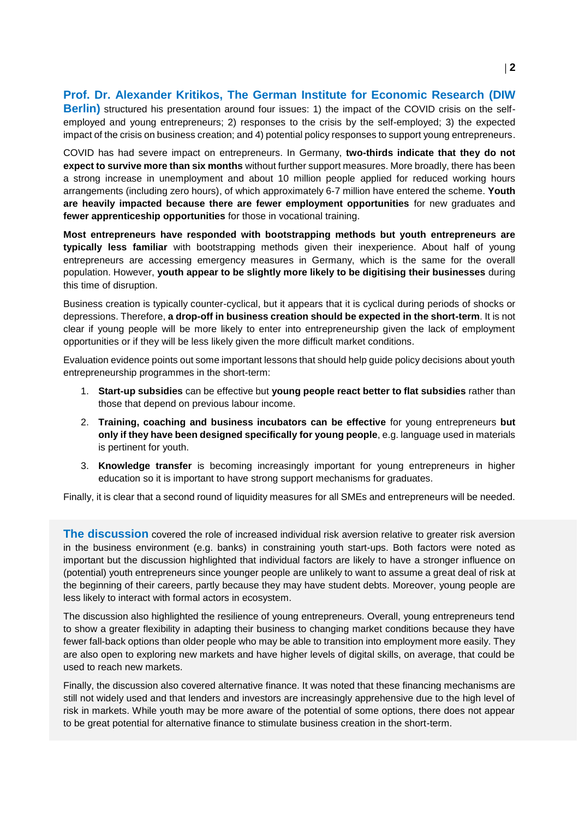#### **Prof. Dr. Alexander Kritikos, The German Institute for Economic Research (DIW**

**Berlin)** structured his presentation around four issues: 1) the impact of the COVID crisis on the selfemployed and young entrepreneurs; 2) responses to the crisis by the self-employed; 3) the expected impact of the crisis on business creation; and 4) potential policy responses to support young entrepreneurs.

COVID has had severe impact on entrepreneurs. In Germany, **two-thirds indicate that they do not expect to survive more than six months** without further support measures. More broadly, there has been a strong increase in unemployment and about 10 million people applied for reduced working hours arrangements (including zero hours), of which approximately 6-7 million have entered the scheme. **Youth are heavily impacted because there are fewer employment opportunities** for new graduates and **fewer apprenticeship opportunities** for those in vocational training.

**Most entrepreneurs have responded with bootstrapping methods but youth entrepreneurs are typically less familiar** with bootstrapping methods given their inexperience. About half of young entrepreneurs are accessing emergency measures in Germany, which is the same for the overall population. However, **youth appear to be slightly more likely to be digitising their businesses** during this time of disruption.

Business creation is typically counter-cyclical, but it appears that it is cyclical during periods of shocks or depressions. Therefore, **a drop-off in business creation should be expected in the short-term**. It is not clear if young people will be more likely to enter into entrepreneurship given the lack of employment opportunities or if they will be less likely given the more difficult market conditions.

Evaluation evidence points out some important lessons that should help guide policy decisions about youth entrepreneurship programmes in the short-term:

- 1. **Start-up subsidies** can be effective but **young people react better to flat subsidies** rather than those that depend on previous labour income.
- 2. **Training, coaching and business incubators can be effective** for young entrepreneurs **but only if they have been designed specifically for young people**, e.g. language used in materials is pertinent for youth.
- 3. **Knowledge transfer** is becoming increasingly important for young entrepreneurs in higher education so it is important to have strong support mechanisms for graduates.

Finally, it is clear that a second round of liquidity measures for all SMEs and entrepreneurs will be needed.

**The discussion** covered the role of increased individual risk aversion relative to greater risk aversion in the business environment (e.g. banks) in constraining youth start-ups. Both factors were noted as important but the discussion highlighted that individual factors are likely to have a stronger influence on (potential) youth entrepreneurs since younger people are unlikely to want to assume a great deal of risk at the beginning of their careers, partly because they may have student debts. Moreover, young people are less likely to interact with formal actors in ecosystem.

The discussion also highlighted the resilience of young entrepreneurs. Overall, young entrepreneurs tend to show a greater flexibility in adapting their business to changing market conditions because they have fewer fall-back options than older people who may be able to transition into employment more easily. They are also open to exploring new markets and have higher levels of digital skills, on average, that could be used to reach new markets.

Finally, the discussion also covered alternative finance. It was noted that these financing mechanisms are still not widely used and that lenders and investors are increasingly apprehensive due to the high level of risk in markets. While youth may be more aware of the potential of some options, there does not appear to be great potential for alternative finance to stimulate business creation in the short-term.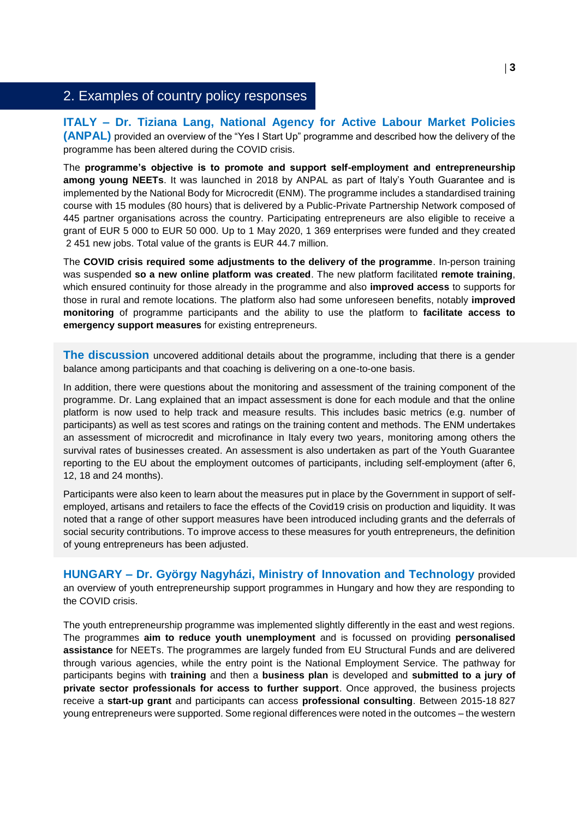## 2. Examples of country policy responses

**ITALY – Dr. Tiziana Lang, National Agency for Active Labour Market Policies (ANPAL)** provided an overview of the "Yes I Start Up" programme and described how the delivery of the programme has been altered during the COVID crisis.

The **programme's objective is to promote and support self-employment and entrepreneurship among young NEETs**. It was launched in 2018 by ANPAL as part of Italy's Youth Guarantee and is implemented by the National Body for Microcredit (ENM). The programme includes a standardised training course with 15 modules (80 hours) that is delivered by a Public-Private Partnership Network composed of 445 partner organisations across the country. Participating entrepreneurs are also eligible to receive a grant of EUR 5 000 to EUR 50 000. Up to 1 May 2020, 1 369 enterprises were funded and they created 2 451 new jobs. Total value of the grants is EUR 44.7 million.

The **COVID crisis required some adjustments to the delivery of the programme**. In-person training was suspended **so a new online platform was created**. The new platform facilitated **remote training**, which ensured continuity for those already in the programme and also **improved access** to supports for those in rural and remote locations. The platform also had some unforeseen benefits, notably **improved monitoring** of programme participants and the ability to use the platform to **facilitate access to emergency support measures** for existing entrepreneurs.

**The discussion** uncovered additional details about the programme, including that there is a gender balance among participants and that coaching is delivering on a one-to-one basis.

In addition, there were questions about the monitoring and assessment of the training component of the programme. Dr. Lang explained that an impact assessment is done for each module and that the online platform is now used to help track and measure results. This includes basic metrics (e.g. number of participants) as well as test scores and ratings on the training content and methods. The ENM undertakes an assessment of microcredit and microfinance in Italy every two years, monitoring among others the survival rates of businesses created. An assessment is also undertaken as part of the Youth Guarantee reporting to the EU about the employment outcomes of participants, including self-employment (after 6, 12, 18 and 24 months).

Participants were also keen to learn about the measures put in place by the Government in support of selfemployed, artisans and retailers to face the effects of the Covid19 crisis on production and liquidity. It was noted that a range of other support measures have been introduced including grants and the deferrals of social security contributions. To improve access to these measures for youth entrepreneurs, the definition of young entrepreneurs has been adjusted.

**HUNGARY – Dr. György Nagyházi, Ministry of Innovation and Technology** provided an overview of youth entrepreneurship support programmes in Hungary and how they are responding to the COVID crisis.

The youth entrepreneurship programme was implemented slightly differently in the east and west regions. The programmes **aim to reduce youth unemployment** and is focussed on providing **personalised assistance** for NEETs. The programmes are largely funded from EU Structural Funds and are delivered through various agencies, while the entry point is the National Employment Service. The pathway for participants begins with **training** and then a **business plan** is developed and **submitted to a jury of private sector professionals for access to further support**. Once approved, the business projects receive a **start-up grant** and participants can access **professional consulting**. Between 2015-18 827 young entrepreneurs were supported. Some regional differences were noted in the outcomes – the western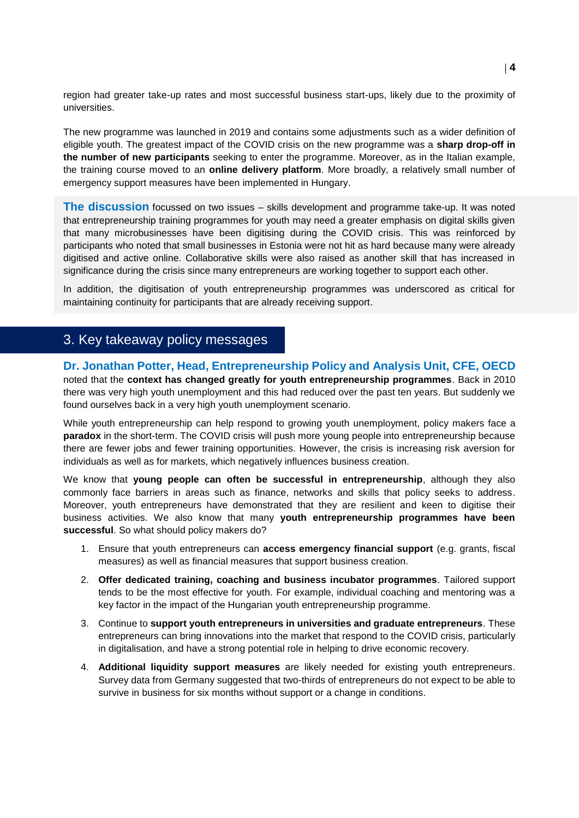region had greater take-up rates and most successful business start-ups, likely due to the proximity of universities.

The new programme was launched in 2019 and contains some adjustments such as a wider definition of eligible youth. The greatest impact of the COVID crisis on the new programme was a **sharp drop-off in the number of new participants** seeking to enter the programme. Moreover, as in the Italian example, the training course moved to an **online delivery platform**. More broadly, a relatively small number of emergency support measures have been implemented in Hungary.

**The discussion** focussed on two issues – skills development and programme take-up. It was noted that entrepreneurship training programmes for youth may need a greater emphasis on digital skills given that many microbusinesses have been digitising during the COVID crisis. This was reinforced by participants who noted that small businesses in Estonia were not hit as hard because many were already digitised and active online. Collaborative skills were also raised as another skill that has increased in significance during the crisis since many entrepreneurs are working together to support each other.

In addition, the digitisation of youth entrepreneurship programmes was underscored as critical for maintaining continuity for participants that are already receiving support.

## 3. Key takeaway policy messages

**Dr. Jonathan Potter, Head, Entrepreneurship Policy and Analysis Unit, CFE, OECD** noted that the **context has changed greatly for youth entrepreneurship programmes**. Back in 2010 there was very high youth unemployment and this had reduced over the past ten years. But suddenly we found ourselves back in a very high youth unemployment scenario.

While youth entrepreneurship can help respond to growing youth unemployment, policy makers face a **paradox** in the short-term. The COVID crisis will push more young people into entrepreneurship because there are fewer jobs and fewer training opportunities. However, the crisis is increasing risk aversion for individuals as well as for markets, which negatively influences business creation.

We know that **young people can often be successful in entrepreneurship**, although they also commonly face barriers in areas such as finance, networks and skills that policy seeks to address. Moreover, youth entrepreneurs have demonstrated that they are resilient and keen to digitise their business activities. We also know that many **youth entrepreneurship programmes have been successful**. So what should policy makers do?

- 1. Ensure that youth entrepreneurs can **access emergency financial support** (e.g. grants, fiscal measures) as well as financial measures that support business creation.
- 2. **Offer dedicated training, coaching and business incubator programmes**. Tailored support tends to be the most effective for youth. For example, individual coaching and mentoring was a key factor in the impact of the Hungarian youth entrepreneurship programme.
- 3. Continue to **support youth entrepreneurs in universities and graduate entrepreneurs**. These entrepreneurs can bring innovations into the market that respond to the COVID crisis, particularly in digitalisation, and have a strong potential role in helping to drive economic recovery.
- 4. **Additional liquidity support measures** are likely needed for existing youth entrepreneurs. Survey data from Germany suggested that two-thirds of entrepreneurs do not expect to be able to survive in business for six months without support or a change in conditions.